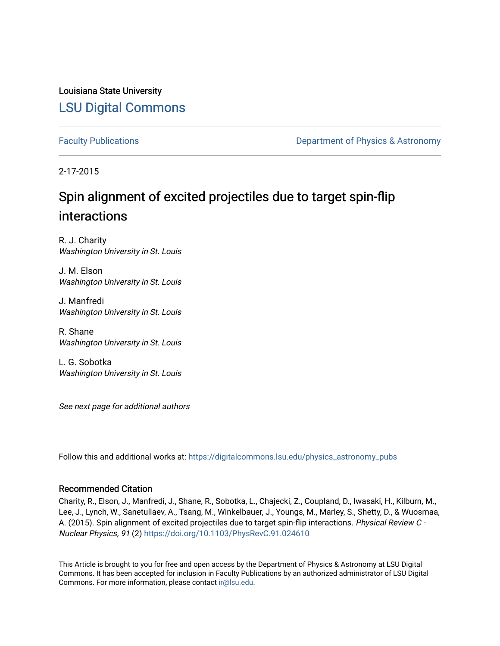Louisiana State University [LSU Digital Commons](https://digitalcommons.lsu.edu/)

[Faculty Publications](https://digitalcommons.lsu.edu/physics_astronomy_pubs) **Exercise 2 and Table 2 and Table 2 and Table 2 and Table 2 and Table 2 and Table 2 and Table 2 and Table 2 and Table 2 and Table 2 and Table 2 and Table 2 and Table 2 and Table 2 and Table 2 and Table** 

2-17-2015

# Spin alignment of excited projectiles due to target spin-flip interactions

R. J. Charity Washington University in St. Louis

J. M. Elson Washington University in St. Louis

J. Manfredi Washington University in St. Louis

R. Shane Washington University in St. Louis

L. G. Sobotka Washington University in St. Louis

See next page for additional authors

Follow this and additional works at: [https://digitalcommons.lsu.edu/physics\\_astronomy\\_pubs](https://digitalcommons.lsu.edu/physics_astronomy_pubs?utm_source=digitalcommons.lsu.edu%2Fphysics_astronomy_pubs%2F3069&utm_medium=PDF&utm_campaign=PDFCoverPages) 

# Recommended Citation

Charity, R., Elson, J., Manfredi, J., Shane, R., Sobotka, L., Chajecki, Z., Coupland, D., Iwasaki, H., Kilburn, M., Lee, J., Lynch, W., Sanetullaev, A., Tsang, M., Winkelbauer, J., Youngs, M., Marley, S., Shetty, D., & Wuosmaa, A. (2015). Spin alignment of excited projectiles due to target spin-flip interactions. Physical Review C - Nuclear Physics, 91 (2) <https://doi.org/10.1103/PhysRevC.91.024610>

This Article is brought to you for free and open access by the Department of Physics & Astronomy at LSU Digital Commons. It has been accepted for inclusion in Faculty Publications by an authorized administrator of LSU Digital Commons. For more information, please contact [ir@lsu.edu](mailto:ir@lsu.edu).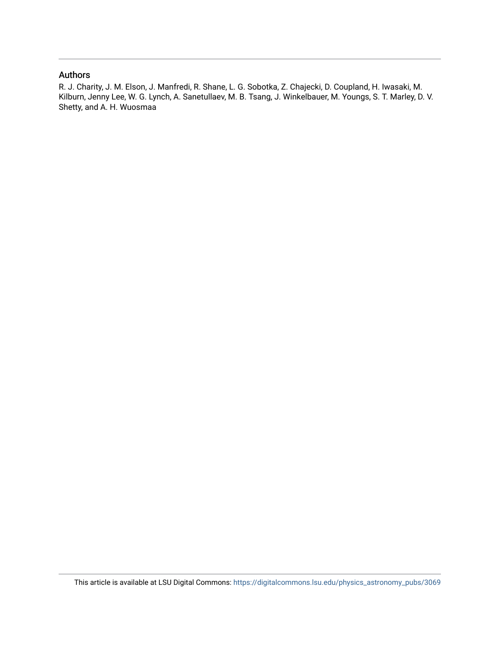# Authors

R. J. Charity, J. M. Elson, J. Manfredi, R. Shane, L. G. Sobotka, Z. Chajecki, D. Coupland, H. Iwasaki, M. Kilburn, Jenny Lee, W. G. Lynch, A. Sanetullaev, M. B. Tsang, J. Winkelbauer, M. Youngs, S. T. Marley, D. V. Shetty, and A. H. Wuosmaa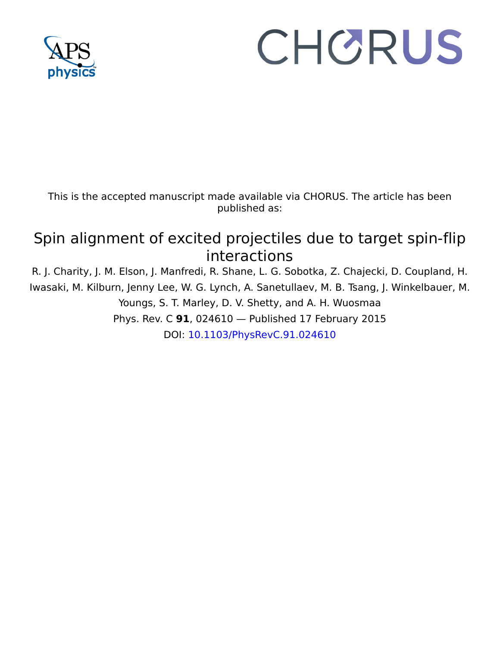

# CHORUS

This is the accepted manuscript made available via CHORUS. The article has been published as:

# Spin alignment of excited projectiles due to target spin-flip interactions

R. J. Charity, J. M. Elson, J. Manfredi, R. Shane, L. G. Sobotka, Z. Chajecki, D. Coupland, H. Iwasaki, M. Kilburn, Jenny Lee, W. G. Lynch, A. Sanetullaev, M. B. Tsang, J. Winkelbauer, M. Youngs, S. T. Marley, D. V. Shetty, and A. H. Wuosmaa Phys. Rev. C **91**, 024610 — Published 17 February 2015 DOI: [10.1103/PhysRevC.91.024610](http://dx.doi.org/10.1103/PhysRevC.91.024610)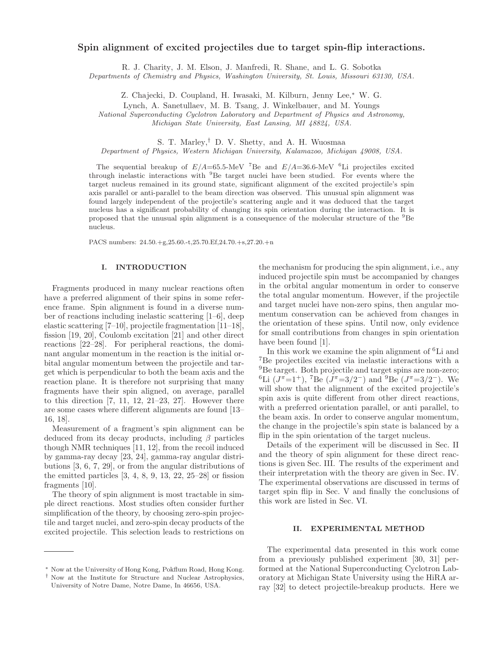# Spin alignment of excited projectiles due to target spin-flip interactions.

R. J. Charity, J. M. Elson, J. Manfredi, R. Shane, and L. G. Sobotka

Departments of Chemistry and Physics, Washington University, St. Louis, Missouri 63130, USA.

Z. Chajecki, D. Coupland, H. Iwasaki, M. Kilburn, Jenny Lee,<sup>∗</sup> W. G.

Lynch, A. Sanetullaev, M. B. Tsang, J. Winkelbauer, and M. Youngs

National Superconducting Cyclotron Laboratory and Department of Physics and Astronomy,

Michigan State University, East Lansing, MI 48824, USA.

S. T. Marley,† D. V. Shetty, and A. H. Wuosmaa

Department of Physics, Western Michigan University, Kalamazoo, Michigan 49008, USA.

The sequential breakup of  $E/A=65.5$ -MeV <sup>7</sup>Be and  $E/A=36.6$ -MeV <sup>6</sup>Li projectiles excited through inelastic interactions with <sup>9</sup>Be target nuclei have been studied. For events where the target nucleus remained in its ground state, significant alignment of the excited projectile's spin axis parallel or anti-parallel to the beam direction was observed. This unusual spin alignment was found largely independent of the projectile's scattering angle and it was deduced that the target nucleus has a significant probability of changing its spin orientation during the interaction. It is proposed that the unusual spin alignment is a consequence of the molecular structure of the <sup>9</sup>Be nucleus.

PACS numbers: 24.50.+g,25.60.-t,25.70.Ef,24.70.+s,27.20.+n

## I. INTRODUCTION

Fragments produced in many nuclear reactions often have a preferred alignment of their spins in some reference frame. Spin alignment is found in a diverse number of reactions including inelastic scattering [1–6], deep elastic scattering [7–10], projectile fragmentation [11–18], fission [19, 20], Coulomb excitation [21] and other direct reactions [22–28]. For peripheral reactions, the dominant angular momentum in the reaction is the initial orbital angular momentum between the projectile and target which is perpendicular to both the beam axis and the reaction plane. It is therefore not surprising that many fragments have their spin aligned, on average, parallel to this direction  $[7, 11, 12, 21-23, 27]$ . However there are some cases where different alignments are found [13– 16, 18].

Measurement of a fragment's spin alignment can be deduced from its decay products, including  $\beta$  particles though NMR techniques [11, 12], from the recoil induced by gamma-ray decay [23, 24], gamma-ray angular distributions [3, 6, 7, 29], or from the angular distributions of the emitted particles  $[3, 4, 8, 9, 13, 22, 25-28]$  or fission fragments [10].

The theory of spin alignment is most tractable in simple direct reactions. Most studies often consider further simplification of the theory, by choosing zero-spin projectile and target nuclei, and zero-spin decay products of the excited projectile. This selection leads to restrictions on

the mechanism for producing the spin alignment, i.e., any induced projectile spin must be accompanied by changes in the orbital angular momentum in order to conserve the total angular momentum. However, if the projectile and target nuclei have non-zero spins, then angular momentum conservation can be achieved from changes in the orientation of these spins. Until now, only evidence for small contributions from changes in spin orientation have been found [1].

In this work we examine the spin alignment of <sup>6</sup>Li and <sup>7</sup>Be projectiles excited via inelastic interactions with a <sup>9</sup>Be target. Both projectile and target spins are non-zero;  ${}^{6}\text{Li}$  ( $J^{\pi}$ =1<sup>+</sup>), <sup>7</sup>Be ( $J^{\pi}$ =3/2<sup>-</sup>) and <sup>9</sup>Be ( $J^{\pi}$ =3/2<sup>-</sup>). We will show that the alignment of the excited projectile's spin axis is quite different from other direct reactions, with a preferred orientation parallel, or anti parallel, to the beam axis. In order to conserve angular momentum, the change in the projectile's spin state is balanced by a flip in the spin orientation of the target nucleus.

Details of the experiment will be discussed in Sec. II and the theory of spin alignment for these direct reactions is given Sec. III. The results of the experiment and their interpretation with the theory are given in Sec. IV. The experimental observations are discussed in terms of target spin flip in Sec. V and finally the conclusions of this work are listed in Sec. VI.

#### II. EXPERIMENTAL METHOD

The experimental data presented in this work come from a previously published experiment [30, 31] performed at the National Superconducting Cyclotron Laboratory at Michigan State University using the HiRA array [32] to detect projectile-breakup products. Here we

<sup>∗</sup> Now at the University of Hong Kong, Pokflum Road, Hong Kong.

<sup>†</sup> Now at the Institute for Structure and Nuclear Astrophysics, University of Notre Dame, Notre Dame, In 46656, USA.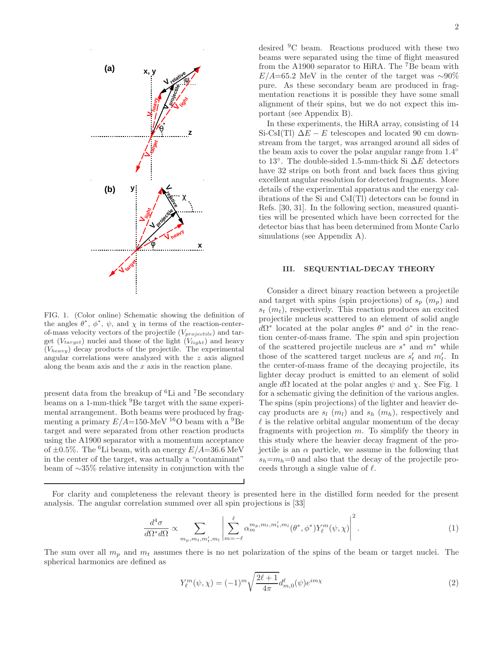

FIG. 1. (Color online) Schematic showing the definition of the angles  $\theta^*, \phi^*, \psi$ , and  $\chi$  in terms of the reaction-centerof-mass velocity vectors of the projectile  $(V_{projectile})$  and target  $(V_{target})$  nuclei and those of the light  $(V_{light})$  and heavy  $(V_{heavy})$  decay products of the projectile. The experimental angular correlations were analyzed with the z axis aligned along the beam axis and the  $x$  axis in the reaction plane.

present data from the breakup of <sup>6</sup>Li and <sup>7</sup>Be secondary beams on a 1-mm-thick <sup>9</sup>Be target with the same experimental arrangement. Both beams were produced by fragmenting a primary  $E/A=150$ -MeV <sup>16</sup>O beam with a <sup>9</sup>Be target and were separated from other reaction products using the A1900 separator with a momentum acceptance of  $\pm 0.5\%$ . The <sup>6</sup>Li beam, with an energy  $E/A = 36.6$  MeV in the center of the target, was actually a "contaminant" beam of ∼35% relative intensity in conjunction with the desired <sup>9</sup>C beam. Reactions produced with these two beams were separated using the time of flight measured from the A1900 separator to HiRA. The <sup>7</sup>Be beam with  $E/A=65.2$  MeV in the center of the target was ~90% pure. As these secondary beam are produced in fragmentation reactions it is possible they have some small alignment of their spins, but we do not expect this important (see Appendix B).

In these experiments, the HiRA array, consisting of 14 Si-CsI(Tl)  $\Delta E - E$  telescopes and located 90 cm downstream from the target, was arranged around all sides of the beam axis to cover the polar angular range from 1.4◦ to 13°. The double-sided 1.5-mm-thick Si  $\Delta E$  detectors have 32 strips on both front and back faces thus giving excellent angular resolution for detected fragments. More details of the experimental apparatus and the energy calibrations of the Si and CsI(Tl) detectors can be found in Refs. [30, 31]. In the following section, measured quantities will be presented which have been corrected for the detector bias that has been determined from Monte Carlo simulations (see Appendix A).

### III. SEQUENTIAL-DECAY THEORY

Consider a direct binary reaction between a projectile and target with spins (spin projections) of  $s_p$   $(m_p)$  and  $s_t$  ( $m_t$ ), respectively. This reaction produces an excited projectile nucleus scattered to an element of solid angle  $d\Omega^*$  located at the polar angles  $\theta^*$  and  $\phi^*$  in the reaction center-of-mass frame. The spin and spin projection of the scattered projectile nucleus are  $s^*$  and  $m^*$  while those of the scattered target nucleus are  $s'_t$  and  $m'_t$ . In the center-of-mass frame of the decaying projectile, its lighter decay product is emitted to an element of solid angle  $d\Omega$  located at the polar angles  $\psi$  and  $\chi$ . See Fig. 1 for a schematic giving the definition of the various angles. The spins (spin projections) of the lighter and heavier decay products are  $s_l$   $(m_l)$  and  $s_h$   $(m_h)$ , respectively and  $\ell$  is the relative orbital angular momentum of the decay fragments with projection  $m$ . To simplify the theory in this study where the heavier decay fragment of the projectile is an  $\alpha$  particle, we assume in the following that  $s_h=m_h=0$  and also that the decay of the projectile proceeds through a single value of  $\ell$ .

For clarity and completeness the relevant theory is presented here in the distilled form needed for the present analysis. The angular correlation summed over all spin projections is [33]

$$
\frac{d^4\sigma}{d\Omega^* d\Omega} \propto \sum_{m_p, m_t, m'_t, m_l} \left| \sum_{m=-\ell}^{\ell} \alpha_m^{m_p, m_t, m'_t, m_l} (\theta^*, \phi^*) Y_{\ell}^m(\psi, \chi) \right|^2. \tag{1}
$$

The sum over all  $m_p$  and  $m_t$  assumes there is no net polarization of the spins of the beam or target nuclei. The spherical harmonics are defined as

$$
Y_{\ell}^{m}(\psi,\chi) = (-1)^{m} \sqrt{\frac{2\ell+1}{4\pi}} d_{m,0}^{\ell}(\psi) e^{im\chi}
$$
 (2)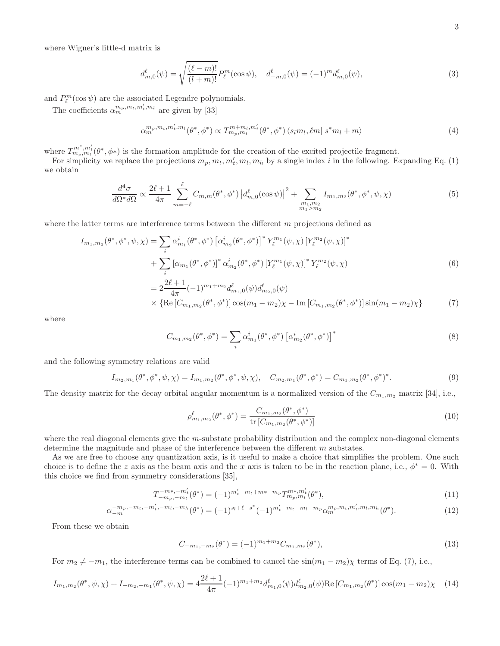where Wigner's little-d matrix is

$$
d_{m,0}^{\ell}(\psi) = \sqrt{\frac{(\ell - m)!}{(l + m)!}} P_{\ell}^{m}(\cos \psi), \quad d_{-m,0}^{\ell}(\psi) = (-1)^{m} d_{m,0}^{\ell}(\psi), \tag{3}
$$

and  $P_{\ell}^{m}(\cos\psi)$  are the associated Legendre polynomials.

The coefficients  $\alpha_m^{m_p, m_t, m'_t, m_l}$  are given by [33]

$$
\alpha_m^{m_p, m_t, m'_t, m_l}(\theta^*, \phi^*) \propto T_{m_p, m_t}^{m + m_l, m'_t}(\theta^*, \phi^*) \langle s_l m_l, \ell m | s^* m_l + m \rangle \tag{4}
$$

where  $T_{m_p,m_t'}^{m^*,m_t'}(\theta^*,\phi^*)$  is the formation amplitude for the creation of the excited projectile fragment.

For simplicity we replace the projections  $m_p, m_t, m'_t, m_l, m_h$  by a single index i in the following. Expanding Eq. (1) we obtain

$$
\frac{d^4\sigma}{d\Omega^* d\Omega} \propto \frac{2\ell+1}{4\pi} \sum_{m=-\ell}^{\ell} C_{m,m}(\theta^*, \phi^*) \left| d_{m,0}^{\ell}(\cos\psi) \right|^2 + \sum_{\substack{m_1, m_2 \\ m_1 > m_2}} I_{m_1, m_2}(\theta^*, \phi^*, \psi, \chi) \tag{5}
$$

where the latter terms are interference terms between the different m projections defined as

$$
I_{m_1,m_2}(\theta^*, \phi^*, \psi, \chi) = \sum_i \alpha_{m_1}^i(\theta^*, \phi^*) \left[ \alpha_{m_2}^i(\theta^*, \phi^*) \right]^* Y_{\ell}^{m_1}(\psi, \chi) \left[ Y_{\ell}^{m_2}(\psi, \chi) \right]^*
$$
  
+ 
$$
\sum_i \left[ \alpha_{m_1}(\theta^*, \phi^*) \right]^* \alpha_{m_2}^i(\theta^*, \phi^*) \left[ Y_{\ell}^{m_1}(\psi, \chi) \right]^* Y_{\ell}^{m_2}(\psi, \chi)
$$
  
= 
$$
2 \frac{2\ell + 1}{4\pi} (-1)^{m_1 + m_2} d_{m_1,0}^{\ell}(\psi) d_{m_2,0}^{\ell}(\psi)
$$
  

$$
\times \left\{ \text{Re} \left[ C_{m_1,m_2}(\theta^*, \phi^*) \right] \cos(m_1 - m_2) \chi - \text{Im} \left[ C_{m_1,m_2}(\theta^*, \phi^*) \right] \sin(m_1 - m_2) \chi \right\}
$$
(7)

where

$$
C_{m_1,m_2}(\theta^*,\phi^*) = \sum_i \alpha_{m_1}^i(\theta^*,\phi^*) \left[ \alpha_{m_2}^i(\theta^*,\phi^*) \right]^*
$$
\n(8)

and the following symmetry relations are valid

$$
I_{m_2,m_1}(\theta^*,\phi^*,\psi,\chi) = I_{m_1,m_2}(\theta^*,\phi^*,\psi,\chi), \quad C_{m_2,m_1}(\theta^*,\phi^*) = C_{m_1,m_2}(\theta^*,\phi^*)^*.
$$
\n(9)

The density matrix for the decay orbital angular momentum is a normalized version of the  $C_{m_1,m_2}$  matrix [34], i.e.,

$$
\rho_{m_1,m_2}^{\ell}(\theta^*,\phi^*) = \frac{C_{m_1,m_2}(\theta^*,\phi^*)}{\text{tr}\left[C_{m_1,m_2}(\theta^*,\phi^*)\right]} \tag{10}
$$

where the real diagonal elements give the m-substate probability distribution and the complex non-diagonal elements determine the magnitude and phase of the interference between the different m substates.

As we are free to choose any quantization axis, is it useful to make a choice that simplifies the problem. One such choice is to define the z axis as the beam axis and the x axis is taken to be in the reaction plane, i.e.,  $\phi^* = 0$ . With this choice we find from symmetry considerations [35],

$$
T_{-m_p,-m_t}^{-m^*,-m_t'}(\theta^*) = (-1)^{m_t'-m_t+m^*-m_p} T_{m_p,m_t}^{m^*,m_t'}(\theta^*),
$$
\n(11)

$$
\alpha_{-m}^{-m_p,-m_t,-m'_t,-m_l,-m_h}(\theta^*) = (-1)^{s_l+\ell-s^*}(-1)^{m'_t-m_t-m_l-m_p} \alpha_m^{m_p,m_t,m'_t,m_l,m_h}(\theta^*).
$$
\n(12)

From these we obtain

$$
C_{-m_1,-m_2}(\theta^*) = (-1)^{m_1+m_2} C_{m_1,m_2}(\theta^*),
$$
\n(13)

For  $m_2 \neq -m_1$ , the interference terms can be combined to cancel the  $\sin(m_1 - m_2)\chi$  terms of Eq. (7), i.e.,

$$
I_{m_1,m_2}(\theta^*,\psi,\chi) + I_{-m_2,-m_1}(\theta^*,\psi,\chi) = 4\frac{2\ell+1}{4\pi}(-1)^{m_1+m_2}d_{m_1,0}^{\ell}(\psi)d_{m_2,0}^{\ell}(\psi)\text{Re}\left[C_{m_1,m_2}(\theta^*)\right]\cos(m_1-m_2)\chi\tag{14}
$$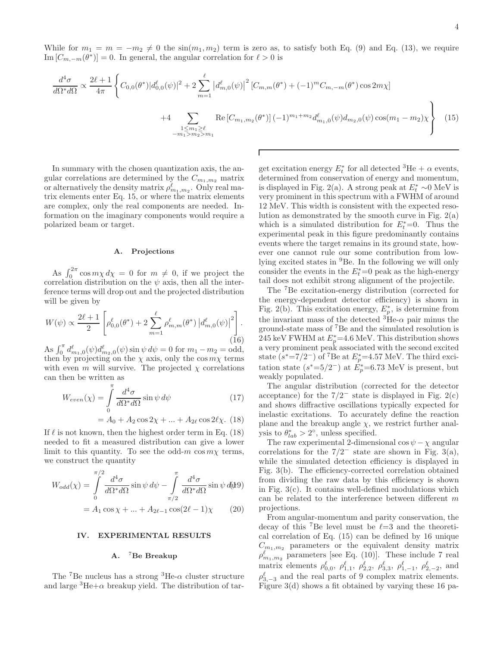While for  $m_1 = m = -m_2 \neq 0$  the  $\sin(m_1, m_2)$  term is zero as, to satisfy both Eq. (9) and Eq. (13), we require Im  $[C_{m,-m}(\theta^*)]=0$ . In general, the angular correlation for  $\ell>0$  is

$$
\frac{d^4\sigma}{d\Omega^* d\Omega} \propto \frac{2\ell+1}{4\pi} \left\{ C_{0,0}(\theta^*) |d_{0,0}^{\ell}(\psi)|^2 + 2 \sum_{m=1}^{\ell} \left| d_{m,0}^{\ell}(\psi) \right|^2 \left[ C_{m,m}(\theta^*) + (-1)^m C_{m,-m}(\theta^*) \cos 2m\chi \right] \right. \\ \left. + 4 \sum_{\substack{1 \le m_1 \ge \ell \\ -m_1 > m_2 > m_1}} \text{Re} \left[ C_{m_1,m_2}(\theta^*) \right] (-1)^{m_1+m_2} d_{m_1,0}^{\ell}(\psi) d_{m_2,0}(\psi) \cos(m_1 - m_2)\chi \right\} \tag{15}
$$

In summary with the chosen quantization axis, the angular correlations are determined by the  $C_{m_1,m_2}$  matrix or alternatively the density matrix  $\rho_{m_1,m_2}^{\ell}$ . Only real matrix elements enter Eq. 15, or where the matrix elements are complex, only the real components are needed. Information on the imaginary components would require a polarized beam or target.

#### A. Projections

As  $\int_0^{2\pi} \cos m\chi \, d\chi = 0$  for  $m \neq 0$ , if we project the correlation distribution on the  $\psi$  axis, then all the interference terms will drop out and the projected distribution will be given by

$$
W(\psi) \propto \frac{2\ell+1}{2} \left[ \rho_{0,0}^{\ell}(\theta^*) + 2 \sum_{m=1}^{\ell} \rho_{m,m}^{\ell}(\theta^*) \left| d_{m,0}^{\ell}(\psi) \right|^2 \right].
$$
\n(16)

As  $\int_0^{\pi} d_{m_1,0}^{\ell}(\psi) d_{m_2,0}^{\ell}(\psi) \sin \psi d\psi = 0$  for  $m_1 - m_2 = \text{odd}$ , then by projecting on the  $\chi$  axis, only the cos  $m\chi$  terms with even m will survive. The projected  $\chi$  correlations can then be written as

$$
W_{even}(\chi) = \int_{0}^{\pi} \frac{d^4 \sigma}{d\Omega^* d\Omega} \sin \psi \, d\psi \tag{17}
$$

$$
= A_0 + A_2 \cos 2\chi + \dots + A_{2\ell} \cos 2\ell \chi. (18)
$$

If  $\ell$  is not known, then the highest order term in Eq. (18) needed to fit a measured distribution can give a lower limit to this quantity. To see the odd-m  $\cos m\chi$  terms, we construct the quantity

$$
W_{odd}(\chi) = \int_{0}^{\pi/2} \frac{d^4 \sigma}{d\Omega^* d\Omega} \sin \psi \, d\psi - \int_{\pi/2}^{\pi} \frac{d^4 \sigma}{d\Omega^* d\Omega} \sin \psi \, d\phi
$$

$$
= A_1 \cos \chi + \dots + A_{2\ell-1} \cos(2\ell - 1)\chi \qquad (20)
$$

#### IV. EXPERIMENTAL RESULTS

## A. <sup>7</sup>Be Breakup

The <sup>7</sup>Be nucleus has a strong <sup>3</sup>He- $\alpha$  cluster structure and large  ${}^{3}$ He+ $\alpha$  breakup yield. The distribution of tar-

get excitation energy  $E_t^*$  for all detected <sup>3</sup>He +  $\alpha$  events, determined from conservation of energy and momentum, is displayed in Fig. 2(a). A strong peak at  $E_t^* \sim 0$  MeV is very prominent in this spectrum with a FWHM of around 12 MeV. This width is consistent with the expected resolution as demonstrated by the smooth curve in Fig.  $2(a)$ which is a simulated distribution for  $E_t^* = 0$ . Thus the experimental peak in this figure predominantly contains events where the target remains in its ground state, however one cannot rule our some contribution from lowlying excited states in <sup>9</sup>Be. In the following we will only consider the events in the  $E_t^* = 0$  peak as the high-energy tail does not exhibit strong alignment of the projectile.

The <sup>7</sup>Be excitation-energy distribution (corrected for the energy-dependent detector efficiency) is shown in Fig. 2(b). This excitation energy,  $E_p^*$ , is determine from the invariant mass of the detected  ${}^{3}$ He- $\alpha$  pair minus the ground-state mass of <sup>7</sup>Be and the simulated resolution is 245 keV FWHM at  $E_p^*$ =4.6 MeV. This distribution shows a very prominent peak associated with the second excited state  $(s^* = 7/2^-)$  of <sup>7</sup>Be at  $E_p^* = 4.57$  MeV. The third excitation state  $(s^* = 5/2^-)$  at  $E_p^* = 6.73$  MeV is present, but weakly populated.

The angular distribution (corrected for the detector acceptance) for the  $7/2^-$  state is displayed in Fig. 2(c) and shows diffractive oscillations typically expected for inelastic excitations. To accurately define the reaction plane and the breakup angle  $\chi$ , we restrict further analysis to  $\theta_{lab}^* > 2^{\circ}$ , unless specified.

The raw experimental 2-dimensional cos  $\psi - \chi$  angular correlations for the  $7/2^-$  state are shown in Fig. 3(a), while the simulated detection efficiency is displayed in Fig. 3(b). The efficiency-corrected correlation obtained from dividing the raw data by this efficiency is shown in Fig. 3(c). It contains well-defined modulations which can be related to the interference between different m projections.

From angular-momentum and parity conservation, the decay of this <sup>7</sup>Be level must be  $\ell = 3$  and the theoretical correlation of Eq. (15) can be defined by 16 unique  $C_{m_1,m_2}$  parameters or the equivalent density matrix  $\rho_{m_1,m_2}^{\ell}$  parameters [see Eq. (10)]. These include 7 real matrix elements  $\rho_{0,0}^{\ell}$ ,  $\rho_{1,1}^{\ell}$ ,  $\rho_{2,2}^{\ell}$ ,  $\rho_{3,3}^{\ell}$ ,  $\rho_{1,-1}^{\ell}$ ,  $\rho_{2,-2}^{\ell}$ , and  $\rho_{3,-3}^{\ell}$  and the real parts of 9 complex matrix elements. Figure 3(d) shows a fit obtained by varying these 16 pa-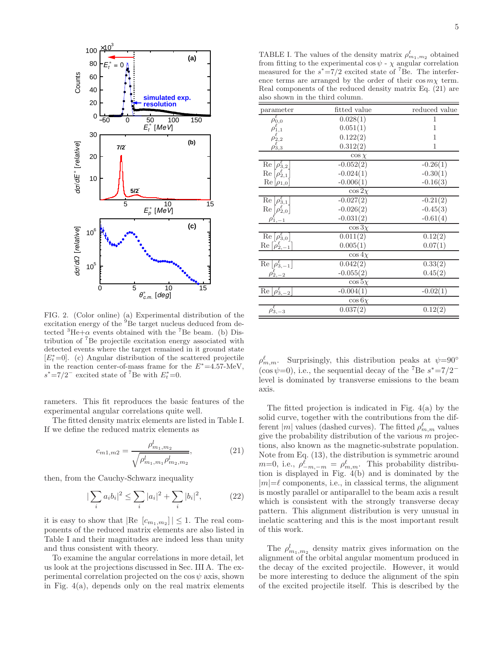

FIG. 2. (Color online) (a) Experimental distribution of the excitation energy of the <sup>9</sup>Be target nucleus deduced from detected  ${}^{3}$ He+ $\alpha$  events obtained with the <sup>7</sup>Be beam. (b) Distribution of <sup>7</sup>Be projectile excitation energy associated with detected events where the target remained in it ground state  $[E_t^* = 0]$ . (c) Angular distribution of the scattered projectile in the reaction center-of-mass frame for the  $E^* = 4.57$ -MeV,  $s^* = 7/2^-$  excited state of <sup>7</sup>Be with  $E_t^* = 0$ .

rameters. This fit reproduces the basic features of the experimental angular correlations quite well.

The fitted density matrix elements are listed in Table I. If we define the reduced matrix elements as

$$
c_{m1,m2} = \frac{\rho_{m_1,m_2}^l}{\sqrt{\rho_{m_1,m_1}^l \rho_{m_2,m_2}^l}},\tag{21}
$$

then, from the Cauchy-Schwarz inequality

$$
\sum_{i} a_{i} b_{i} |^{2} \le \sum_{i} |a_{i}|^{2} + \sum_{i} |b_{i}|^{2}, \qquad (22)
$$

it is easy to show that  $|\text{Re } [c_{m_1,m_2}]| \leq 1$ . The real components of the reduced matrix elements are also listed in Table I and their magnitudes are indeed less than unity and thus consistent with theory.

To examine the angular correlations in more detail, let us look at the projections discussed in Sec. III A. The experimental correlation projected on the  $\cos \psi$  axis, shown in Fig. 4(a), depends only on the real matrix elements

TABLE I. The values of the density matrix  $\rho_{m_1,m_2}^{\ell}$  obtained from fitting to the experimental cos  $\psi$  -  $\chi$  angular correlation measured for the  $s^* = 7/2$  excited state of <sup>7</sup>Be. The interference terms are arranged by the order of their  $\cos m\chi$  term. Real components of the reduced density matrix Eq. (21) are also shown in the third column.

| parameter                                             | fitted value | reduced value |
|-------------------------------------------------------|--------------|---------------|
| $\rho^\ell_{0,0}$                                     | 0.028(1)     | 1             |
| $\rho_{1,1}^\ell$                                     | 0.051(1)     | 1             |
| $\rho_{2,2}^{\ell}$                                   | 0.122(2)     | 1             |
| $\rho_{3,3}^{\ell}$                                   | 0.312(2)     | 1             |
|                                                       | $\cos \chi$  |               |
| $\text{Re}\left[\rho_{3,2}^{\ell}\right]$             | $-0.052(2)$  | $-0.26(1)$    |
| $\text{Re}\left[\rho_{2,1}^{\ell}\right]$             | $-0.024(1)$  | $-0.30(1)$    |
| $\text{Re}\left[\rho_{1,0}\right]$                    | $-0.006(1)$  | $-0.16(3)$    |
|                                                       | $\cos 2\chi$ |               |
| $\operatorname{Re} \rho_{3,1}^{\ell} $                | $-0.027(2)$  | $-0.21(2)$    |
| $\text{Re}\left[\rho_{2,0}^{\ell}\right]$             | $-0.026(2)$  | $-0.45(3)$    |
| $\rho_{1,-1}$                                         | $-0.031(2)$  | $-0.61(4)$    |
|                                                       | $\cos 3\chi$ |               |
| $\text{Re}\left[\rho_{3,0}^{\ell}\right]$             | 0.011(2)     | 0.12(2)       |
| $\text{Re}\left[\rho_{2,-1}^{\ell}\right]$            | 0.005(1)     | 0.07(1)       |
|                                                       | $\cos 4x$    |               |
| $\text{Re}\left[\rho_{3,-1}^{\ell}\right]$            | 0.042(2)     | 0.33(2)       |
| $\rho_{2,-2}^{\ell}$                                  | $-0.055(2)$  | 0.45(2)       |
|                                                       | $\cos 5\chi$ |               |
| $\overline{\text{Re}\left[\rho_{3,-2}^{\ell}\right]}$ | $-0.004(1)$  | $-0.02(1)$    |
|                                                       | $\cos 6x$    |               |
| $\rho_{3,-3}^{\ell}$                                  | 0.037(2)     | 0.12(2)       |
|                                                       |              |               |

 $\rho_{m,m}^{\ell}$ . Surprisingly, this distribution peaks at  $\psi = 90^{\circ}$  $(\cos \psi=0)$ , i.e., the sequential decay of the <sup>7</sup>Be  $s^*=7/2^$ level is dominated by transverse emissions to the beam axis.

The fitted projection is indicated in Fig. 4(a) by the solid curve, together with the contributions from the different  $|m|$  values (dashed curves). The fitted  $\rho_{m,m}^{\ell}$  values give the probability distribution of the various  $m$  projections, also known as the magnetic-substrate population. Note from Eq. (13), the distribution is symmetric around  $m=0$ , i.e.,  $\rho_{-m,-m}^{\ell} = \rho_{m,m}^{\ell}$ . This probability distribution is displayed in Fig. 4(b) and is dominated by the  $|m|=\ell$  components, i.e., in classical terms, the alignment is mostly parallel or antiparallel to the beam axis a result which is consistent with the strongly transverse decay pattern. This alignment distribution is very unusual in inelatic scattering and this is the most important result of this work.

The  $\rho_{m_1,m_2}^l$  density matrix gives information on the alignment of the orbital angular momentum produced in the decay of the excited projectile. However, it would be more interesting to deduce the alignment of the spin of the excited projectile itself. This is described by the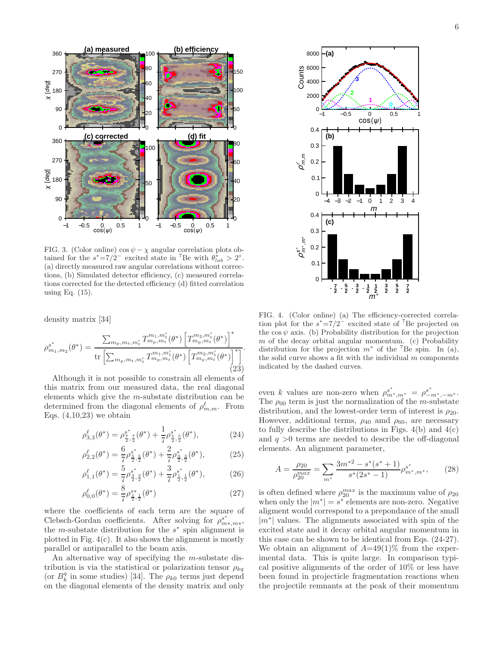

FIG. 3. (Color online)  $\cos \psi - \chi$  angular correlation plots obtained for the  $s^* = 7/2^-$  excited state in <sup>7</sup>Be with  $\theta_{lab}^* > 2^\circ$ . (a) directly measured raw angular correlations without corrections, (b) Simulated detector efficiency, (c) measured correlations corrected for the detected efficiency (d) fitted correlation using Eq. (15).

density matrix [34]

$$
\rho_{m_1,m_2}^{s^*}(\theta^*) = \frac{\sum_{m_p,m_t,m_t'} T_{m_p,m_t}^{m_1,m_t'}(\theta^*) \left[ T_{m_p,m_t}^{m_2,m_t'}(\theta^*) \right]^*}{\text{tr}\left[ \sum_{m_p,m_t,m_t'} T_{m_p,m_t}^{m_1,m_t'}(\theta^*) \left[ T_{m_p,m_t}^{m_2,m_t'}(\theta^*) \right]^* \right]}.
$$
\n(23)

Although it is not possible to constrain all elements of this matrix from our measured data, the real diagonal elements which give the m-substate distribution can be determined from the diagonal elements of  $\rho_{m,m}^{\ell}$ . From Eqs.  $(4,10,23)$  we obtain

$$
\rho_{3,3}^{\ell}(\theta^*) = \rho_{\frac{7}{2},\frac{7}{2}}^{s^*}(\theta^*) + \frac{1}{7}\rho_{\frac{5}{2},\frac{5}{2}}^{s^*}(\theta^*),\tag{24}
$$

$$
\rho_{2,2}^{\ell}(\theta^*) = \frac{6}{7}\rho_{\frac{5}{2},\frac{5}{2}}^{s^*}(\theta^*) + \frac{2}{7}\rho_{\frac{3}{2},\frac{3}{2}}^{s^*}(\theta^*),\tag{25}
$$

$$
\rho_{1,1}^{\ell}(\theta^*) = \frac{5}{7}\rho_{\frac{3}{2},\frac{3}{2}}^{s^*}(\theta^*) + \frac{3}{7}\rho_{\frac{1}{2},\frac{1}{2}}^{s^*}(\theta^*),\tag{26}
$$

$$
\rho_{0,0}^{\ell}(\theta^*) = \frac{8}{7} \rho_{\frac{1}{2},\frac{1}{2}}^{s*}(\theta^*)
$$
\n(27)

where the coefficients of each term are the square of Clebsch-Gordan coefficients. After solving for  $\rho_m^{s^*}$  $_{m*,m*}^{\scriptscriptstyle \sum,r}$ the *m*-substate distribution for the  $s^*$  spin alignment is plotted in Fig. 4(c). It also shows the alignment is mostly parallel or antiparallel to the beam axis.

An alternative way of specifying the m-substate distribution is via the statistical or polarization tensor  $\rho_{kq}$ (or  $B_k^q$  in some studies) [34]. The  $\rho_{k0}$  terms just depend on the diagonal elements of the density matrix and only



FIG. 4. (Color online) (a) The efficiency-corrected correlation plot for the  $s^* = 7/2^-$  excited state of <sup>7</sup>Be projected on the  $\cos \psi$  axis. (b) Probability distribution for the projection  $m$  of the decay orbital angular momentum. (c) Probability distribution for the projection  $m^*$  of the <sup>7</sup>Be spin. In (a), the solid curve shows a fit with the individual  $m$  components indicated by the dashed curves.

even k values are non-zero when  $\rho_{m^*,m^*}^{s^*} = \rho_{-m^*,-m^*}^{s^*}$ . The  $\rho_{00}$  term is just the normalization of the *m*-substate distribution, and the lowest-order term of interest is  $\rho_{20}$ . However, additional terms,  $\rho_{40}$  amd  $\rho_{60}$ , are necessary to fully describe the distributions in Figs.  $4(b)$  and  $4(c)$ and  $q > 0$  terms are needed to describe the off-diagonal elements. An alignment parameter,

$$
A = \frac{\rho_{20}}{\rho_{20}^{max}} = \sum_{m^*} \frac{3m^{*2} - s^*(s^* + 1)}{s^*(2s^* - 1)} \rho_{m^*,m^*}^{s^*},\tag{28}
$$

is often defined where  $\rho_{20}^{max}$  is the maximum value of  $\rho_{20}$ when only the  $|m^*|=s^*$  elements are non-zero. Negative aligment would correspond to a prepondance of the small |m<sup>∗</sup> | values. The alignments associated with spin of the excited state and it decay orbital angular momentum in this case can be shown to be identical from Eqs. (24-27). We obtain an alignment of  $A=49(1)\%$  from the experimental data. This is quite large. In comparison typical positive alignments of the order of 10% or less have been found in projecticle fragmentation reactions when the projectile remnants at the peak of their momentum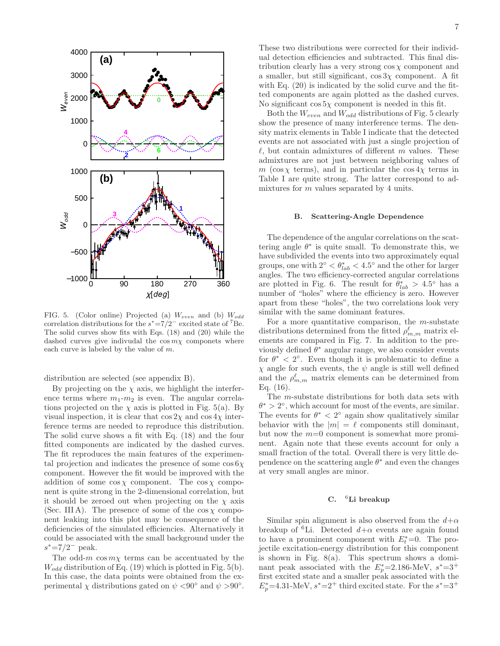

FIG. 5. (Color online) Projected (a)  $W_{even}$  and (b)  $W_{odd}$ correlation distributions for the  $s^* = 7/2^-$  excited state of <sup>7</sup>Be. The solid curves show fits with Eqs. (18) and (20) while the dashed curves give indivudal the  $\cos m\chi$  componets where each curve is labeled by the value of m.

distribution are selected (see appendix B).

By projecting on the  $\chi$  axis, we highlight the interference terms where  $m_1-m_2$  is even. The angular correlations projected on the  $\chi$  axis is plotted in Fig. 5(a). By visual inspection, it is clear that  $\cos 2\chi$  and  $\cos 4\chi$  interference terms are needed to reproduce this distribution. The solid curve shows a fit with Eq. (18) and the four fitted components are indicated by the dashed curves. The fit reproduces the main features of the experimental projection and indicates the presence of some  $\cos 6\chi$ component. However the fit would be improved with the addition of some  $\cos \chi$  component. The  $\cos \chi$  component is quite strong in the 2-dimensional correlation, but it should be zeroed out when projecting on the  $\chi$  axis (Sec. III A). The presence of some of the  $\cos \chi$  component leaking into this plot may be consequence of the deficiencies of the simulated efficiencies. Alternatively it could be associated with the small background under the  $s^* = 7/2^-$  peak.

The odd-m  $\cos m\chi$  terms can be accentuated by the  $W_{odd}$  distribution of Eq. (19) which is plotted in Fig. 5(b). In this case, the data points were obtained from the experimental  $\chi$  distributions gated on  $\psi$  <90° and  $\psi$  >90°.

These two distributions were corrected for their individual detection efficiencies and subtracted. This final distribution clearly has a very strong  $\cos \chi$  component and a smaller, but still significant,  $\cos 3\chi$  component. A fit with Eq.  $(20)$  is indicated by the solid curve and the fitted components are again plotted as the dashed curves. No significant  $\cos 5\chi$  component is needed in this fit.

Both the  $W_{even}$  and  $W_{odd}$  distributions of Fig. 5 clearly show the presence of many interference terms. The density matrix elements in Table I indicate that the detected events are not associated with just a single projection of  $\ell$ , but contain admixtures of different m values. These admixtures are not just between neighboring values of m (cos  $\chi$  terms), and in particular the cos  $4\chi$  terms in Table I are quite strong. The latter correspond to admixtures for  $m$  values separated by 4 units.

#### B. Scattering-Angle Dependence

The dependence of the angular correlations on the scattering angle  $\theta^*$  is quite small. To demonstrate this, we have subdivided the events into two approximately equal groups, one with  $2^{\circ} < \theta^*_{lab} < 4.5^{\circ}$  and the other for larger angles. The two efficiency-corrected angular correlations are plotted in Fig. 6. The result for  $\theta_{lab}^* > 4.5^{\circ}$  has a number of "holes" where the efficiency is zero. However apart from these "holes", the two correlations look very similar with the same dominant features.

For a more quantitative comparison, the  $m$ -substate distributions determined from the fitted  $\rho_{m,m}^{\ell}$  matrix elements are compared in Fig. 7. In addition to the previously defined  $\theta^*$  angular range, we also consider events for  $\theta^*$  < 2°. Even though it is problematic to define a  $\chi$  angle for such events, the  $\psi$  angle is still well defined and the  $\rho_{m,m}^{\ell}$  matrix elements can be determined from Eq. (16).

The m-substate distributions for both data sets with  $\theta^* > 2^{\circ}$ , which account for most of the events, are similar. The events for  $\theta^* < 2^{\circ}$  again show qualitatively similar behavior with the  $|m| = \ell$  components still dominant, but now the  $m=0$  component is somewhat more prominent. Again note that these events account for only a small fraction of the total. Overall there is very little dependence on the scattering angle  $\theta^*$  and even the changes at very small angles are minor.

#### C. <sup>6</sup>Li breakup

Similar spin alignment is also observed from the  $d+\alpha$ breakup of <sup>6</sup>Li. Detected  $d+\alpha$  events are again found to have a prominent component with  $E_t^* = 0$ . The projectile excitation-energy distribution for this component is shown in Fig. 8(a). This spectrum shows a dominant peak associated with the  $E_p^*$ =2.186-MeV,  $s^*$ =3<sup>+</sup> first excited state and a smaller peak associated with the  $E_p^*$ =4.31-MeV,  $s^*$ =2<sup>+</sup> third excited state. For the  $s^*$ =3<sup>+</sup>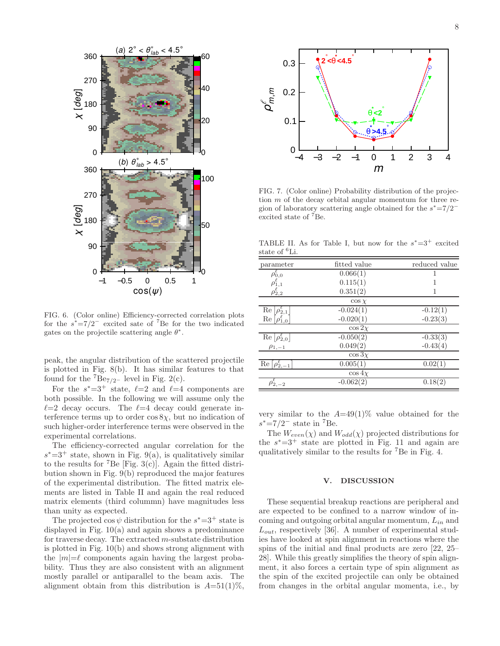

FIG. 6. (Color online) Efficiency-corrected correlation plots for the  $s^* = 7/2^-$  excited sate of <sup>7</sup>Be for the two indicated gates on the projectile scattering angle  $\theta^*$ .

peak, the angular distribution of the scattered projectile is plotted in Fig. 8(b). It has similar features to that found for the  ${}^{7}Be_{7/2}$ - level in Fig. 2(c).

For the  $s^* = 3^+$  state,  $\ell = 2$  and  $\ell = 4$  components are both possible. In the following we will assume only the  $l=2$  decay occurs. The  $l=4$  decay could generate interference terms up to order  $\cos 8\chi$ , but no indication of such higher-order interference terms were observed in the experimental correlations.

The efficiency-corrected angular correlation for the  $s^*$ =3<sup>+</sup> state, shown in Fig. 9(a), is qualitatively similar to the results for <sup>7</sup>Be [Fig. 3(c)]. Again the fitted distribution shown in Fig. 9(b) reproduced the major features of the experimental distribution. The fitted matrix elements are listed in Table II and again the real reduced matrix elements (third colummn) have magnitudes less than unity as expected.

The projected  $\cos \psi$  distribution for the  $s^* = 3^+$  state is displayed in Fig. 10(a) and again shows a predominance for traverse decay. The extracted m-substate distribution is plotted in Fig. 10(b) and shows strong alignment with the  $|m|=\ell$  components again having the largest probability. Thus they are also consistent with an alignment mostly parallel or antiparallel to the beam axis. The alignment obtain from this distribution is  $A=51(1)\%$ ,



FIG. 7. (Color online) Probability distribution of the projection m of the decay orbital angular momentum for three region of laboratory scattering angle obtained for the  $s^* = 7/2^$ excited state of <sup>7</sup>Be.

TABLE II. As for Table I, but now for the  $s^* = 3^+$  excited state of <sup>6</sup>Li.

| parameter                                             | fitted value | reduced value |
|-------------------------------------------------------|--------------|---------------|
| $\rho_{0,0}^{\ell}$                                   | 0.066(1)     | 1             |
|                                                       | 0.115(1)     |               |
| $\rho_{1,1}^{\ell}$<br>$\rho_{2,2}^{\ell}$            | 0.351(2)     |               |
|                                                       | $\cos \chi$  |               |
| $\text{Re}\left[\rho_{2,1}^{\varepsilon}\right]$      | $-0.024(1)$  | $-0.12(1)$    |
| $\text{Re}\left[\rho_{1,0}^{\ell}\right]$             | $-0.020(1)$  | $-0.23(3)$    |
|                                                       | $\cos 2\chi$ |               |
| $\text{Re}\left[\rho_{2,0}^{\ell}\right]$             | $-0.050(2)$  | $-0.33(3)$    |
| $\rho_{1,-1}$                                         | 0.049(2)     | $-0.43(4)$    |
|                                                       | $\cos 3\chi$ |               |
| $\overline{\text{Re}}\left[\rho_{2,-1}^{\ell}\right]$ | 0.005(1)     | 0.02(1)       |
|                                                       | $\cos 4x$    |               |
| $\rho_{2,-2}^{\ell}$                                  | $-0.062(2)$  | 0.18(2)       |

very similar to the  $A=49(1)\%$  value obtained for the  $s^* = 7/2^-$  state in <sup>7</sup>Be.

The  $W_{even}(\chi)$  and  $W_{odd}(\chi)$  projected distributions for the  $s^* = 3^+$  state are plotted in Fig. 11 and again are qualitatively similar to the results for <sup>7</sup>Be in Fig. 4.

# V. DISCUSSION

These sequential breakup reactions are peripheral and are expected to be confined to a narrow window of incoming and outgoing orbital angular momentum,  $L_{in}$  and  $L_{out}$ , respectively [36]. A number of experimental studies have looked at spin alignment in reactions where the spins of the initial and final products are zero [22, 25– 28]. While this greatly simplifies the theory of spin alignment, it also forces a certain type of spin alignment as the spin of the excited projectile can only be obtained from changes in the orbital angular momenta, i.e., by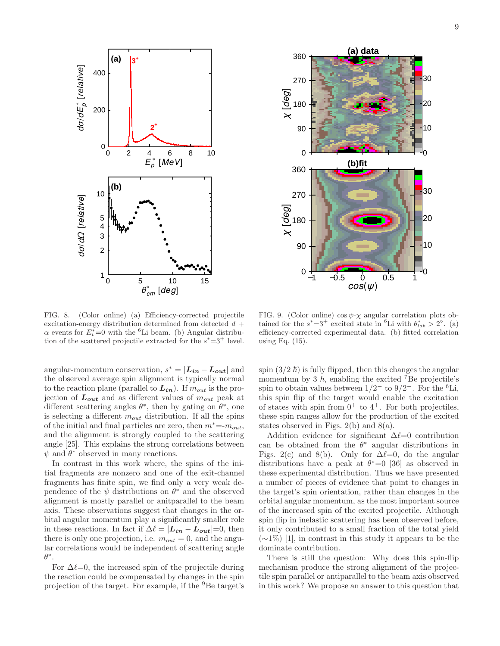



FIG. 8. (Color online) (a) Efficiency-corrected projectile excitation-energy distribution determined from detected  $d +$  $\alpha$  events for  $E_t^* = 0$  with the <sup>6</sup>Li beam. (b) Angular distribution of the scattered projectile extracted for the  $s^* = 3^+$  level.

FIG. 9. (Color online)  $\cos \psi - \chi$  angular correlation plots obtained for the  $s^* = 3^+$  excited state in <sup>6</sup>Li with  $\theta_{lab}^* > 2^{\circ}$ . (a) efficiency-corrected experimental data. (b) fitted correlation using Eq. (15).

angular-momentum conservation,  $s^* = |\mathbf{L}_{in} - \mathbf{L}_{out}|$  and the observed average spin alignment is typically normal to the reaction plane (parallel to  $L_{in}$ ). If  $m_{out}$  is the projection of  $L_{out}$  and as different values of  $m_{out}$  peak at different scattering angles  $\theta^*$ , then by gating on  $\theta^*$ , one is selecting a different  $m_{out}$  distribution. If all the spins of the initial and final particles are zero, then  $m^* = m_{out}$ , and the alignment is strongly coupled to the scattering angle [25]. This explains the strong correlations between  $\psi$  and  $\theta^*$  observed in many reactions.

In contrast in this work where, the spins of the initial fragments are nonzero and one of the exit-channel fragments has finite spin, we find only a very weak dependence of the  $\psi$  distributions on  $\theta^*$  and the observed alignment is mostly parallel or anitparallel to the beam axis. These observations suggest that changes in the orbital angular momentum play a significantly smaller role in these reactions. In fact if  $\Delta \ell = |L_{in} - L_{out}| = 0$ , then there is only one projection, i.e.  $m_{out} = 0$ , and the angular correlations would be independent of scattering angle  $\theta^*$ .

For  $\Delta \ell = 0$ , the increased spin of the projectile during the reaction could be compensated by changes in the spin projection of the target. For example, if the <sup>9</sup>Be target's

spin  $(3/2 h)$  is fully flipped, then this changes the angular momentum by 3  $\hbar$ , enabling the excited <sup>7</sup>Be projectile's spin to obtain values between  $1/2^-$  to  $9/2^-$ . For the <sup>6</sup>Li, this spin flip of the target would enable the excitation of states with spin from  $0^+$  to  $4^+$ . For both projectiles, these spin ranges allow for the production of the excited states observed in Figs. 2(b) and 8(a).

Addition evidence for significant  $\Delta \ell = 0$  contribution can be obtained from the  $\theta^*$  angular distributions in Figs. 2(c) and 8(b). Only for  $\Delta \ell = 0$ , do the angular distributions have a peak at  $\theta^* = 0$  [36] as observed in these experimental distribution. Thus we have presented a number of pieces of evidence that point to changes in the target's spin orientation, rather than changes in the orbital angular momentum, as the most important source of the increased spin of the excited projectile. Although spin flip in inelastic scattering has been observed before, it only contributed to a small fraction of the total yield (∼1%) [1], in contrast in this study it appears to be the dominate contribution.

There is still the question: Why does this spin-flip mechanism produce the strong alignment of the projectile spin parallel or antiparallel to the beam axis observed in this work? We propose an answer to this question that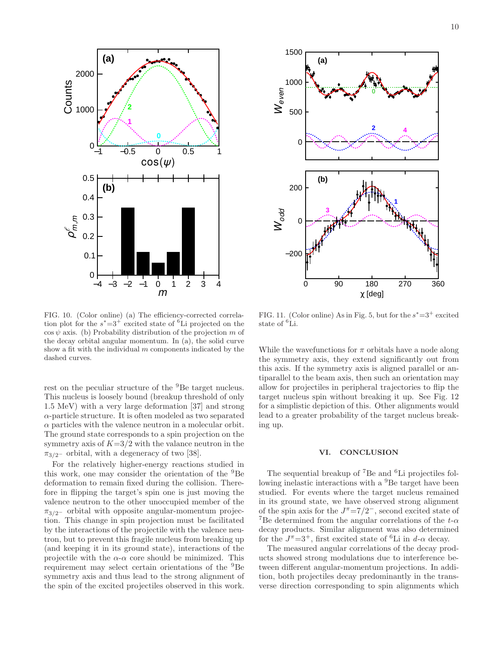

FIG. 10. (Color online) (a) The efficiency-corrected correlation plot for the  $s^* = 3^+$  excited state of <sup>6</sup>Li projected on the  $\cos \psi$  axis. (b) Probability distribution of the projection m of the decay orbital angular momentum. In (a), the solid curve show a fit with the individual  $m$  components indicated by the dashed curves.

rest on the peculiar structure of the <sup>9</sup>Be target nucleus. This nucleus is loosely bound (breakup threshold of only 1.5 MeV) with a very large deformation [37] and strong  $\alpha$ -particle structure. It is often modeled as two separated  $\alpha$  particles with the valence neutron in a molecular orbit. The ground state corresponds to a spin projection on the symmetry axis of  $K=3/2$  with the valance neutron in the  $\pi_{3/2}$ – orbital, with a degeneracy of two [38].

For the relatively higher-energy reactions studied in this work, one may consider the orientation of the <sup>9</sup>Be deformation to remain fixed during the collision. Therefore in flipping the target's spin one is just moving the valence neutron to the other unoccupied member of the  $\pi_{3/2}$ – orbital with opposite angular-momentum projection. This change in spin projection must be facilitated by the interactions of the projectile with the valence neutron, but to prevent this fragile nucleus from breaking up (and keeping it in its ground state), interactions of the projectile with the  $\alpha$ - $\alpha$  core should be minimized. This requirement may select certain orientations of the <sup>9</sup>Be symmetry axis and thus lead to the strong alignment of the spin of the excited projectiles observed in this work.



FIG. 11. (Color online) As in Fig. 5, but for the  $s^* = 3^+$  excited state of <sup>6</sup>Li.

While the wavefunctions for  $\pi$  orbitals have a node along the symmetry axis, they extend significantly out from this axis. If the symmetry axis is aligned parallel or antiparallel to the beam axis, then such an orientation may allow for projectiles in peripheral trajectories to flip the target nucleus spin without breaking it up. See Fig. 12 for a simplistic depiction of this. Other alignments would lead to a greater probability of the target nucleus breaking up.

#### VI. CONCLUSION

The sequential breakup of <sup>7</sup>Be and <sup>6</sup>Li projectiles following inelastic interactions with a <sup>9</sup>Be target have been studied. For events where the target nucleus remained in its ground state, we have observed strong alignment of the spin axis for the  $J^{\pi} = 7/2^-$ , second excited state of <sup>7</sup>Be determined from the angular correlations of the  $t-\alpha$ decay products. Similar alignment was also determined for the  $J^{\pi}$ =3<sup>+</sup>, first excited state of <sup>6</sup>Li in d- $\alpha$  decay.

The measured angular correlations of the decay products showed strong modulations due to interference between different angular-momentum projections. In addition, both projectiles decay predominantly in the transverse direction corresponding to spin alignments which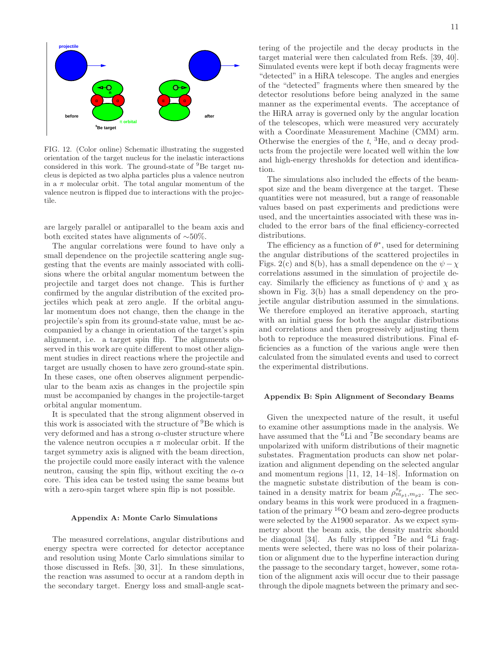

FIG. 12. (Color online) Schematic illustrating the suggested orientation of the target nucleus for the inelastic interactions considered in this work. The ground-state of <sup>9</sup>Be target nucleus is depicted as two alpha particles plus a valence neutron in a  $\pi$  molecular orbit. The total angular momentum of the valence neutron is flipped due to interactions with the projectile.

are largely parallel or antiparallel to the beam axis and both excited states have alignments of ∼50%.

The angular correlations were found to have only a small dependence on the projectile scattering angle suggesting that the events are mainly associated with collisions where the orbital angular momentum between the projectile and target does not change. This is further confirmed by the angular distribution of the excited projectiles which peak at zero angle. If the orbital angular momentum does not change, then the change in the projectile's spin from its ground-state value, must be accompanied by a change in orientation of the target's spin alignment, i.e. a target spin flip. The alignments observed in this work are quite different to most other alignment studies in direct reactions where the projectile and target are usually chosen to have zero ground-state spin. In these cases, one often observes alignment perpendicular to the beam axis as changes in the projectile spin must be accompanied by changes in the projectile-target orbital angular momentum.

It is speculated that the strong alignment observed in this work is associated with the structure of <sup>9</sup>Be which is very deformed and has a strong  $\alpha$ -cluster structure where the valence neutron occupies a  $\pi$  molecular orbit. If the target symmetry axis is aligned with the beam direction, the projectile could more easily interact with the valence neutron, causing the spin flip, without exciting the  $\alpha$ - $\alpha$ core. This idea can be tested using the same beams but with a zero-spin target where spin flip is not possible.

#### Appendix A: Monte Carlo Simulations

The measured correlations, angular distributions and energy spectra were corrected for detector acceptance and resolution using Monte Carlo simulations similar to those discussed in Refs. [30, 31]. In these simulations, the reaction was assumed to occur at a random depth in the secondary target. Energy loss and small-angle scat-

tering of the projectile and the decay products in the target material were then calculated from Refs. [39, 40]. Simulated events were kept if both decay fragments were "detected" in a HiRA telescope. The angles and energies of the "detected" fragments where then smeared by the detector resolutions before being analyzed in the same manner as the experimental events. The acceptance of the HiRA array is governed only by the angular location of the telescopes, which were measured very accurately with a Coordinate Measurement Machine (CMM) arm. Otherwise the energies of the t,  ${}^{3}$ He, and  $\alpha$  decay products from the projectile were located well within the low and high-energy thresholds for detection and identification.

The simulations also included the effects of the beamspot size and the beam divergence at the target. These quantities were not measured, but a range of reasonable values based on past experiments and predictions were used, and the uncertainties associated with these was included to the error bars of the final efficiency-corrected distributions.

The efficiency as a function of  $\theta^*$ , used for determining the angular distributions of the scattered projectiles in Figs. 2(c) and 8(b), has a small dependence on the  $\psi - \chi$ correlations assumed in the simulation of projectile decay. Similarly the efficiency as functions of  $\psi$  and  $\chi$  as shown in Fig. 3(b) has a small dependency on the projectile angular distribution assumed in the simulations. We therefore employed an iterative approach, starting with an initial guess for both the angular distributions and correlations and then progressively adjusting them both to reproduce the measured distributions. Final efficiencies as a function of the various angle were then calculated from the simulated events and used to correct the experimental distributions.

#### Appendix B: Spin Alignment of Secondary Beams

Given the unexpected nature of the result, it useful to examine other assumptions made in the analysis. We have assumed that the <sup>6</sup>Li and <sup>7</sup>Be secondary beams are unpolarized with uniform distributions of their magnetic substates. Fragmentation products can show net polarization and alignment depending on the selected angular and momentum regions [11, 12, 14–18]. Information on the magnetic substate distribution of the beam is contained in a density matrix for beam  $\rho_{m_{p_1},m_{p_2}}^{s_p}$ . The secondary beams in this work were produced in a fragmentation of the primary  ${}^{16}$ O beam and zero-degree products were selected by the A1900 separator. As we expect symmetry about the beam axis, the density matrix should be diagonal [34]. As fully stripped <sup>7</sup>Be and <sup>6</sup>Li fragments were selected, there was no loss of their polarization or alignment due to the hyperfine interaction during the passage to the secondary target, however, some rotation of the alignment axis will occur due to their passage through the dipole magnets between the primary and sec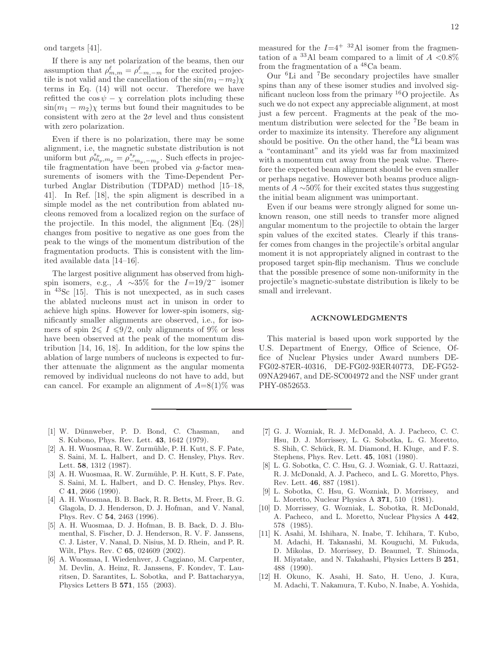ond targets [41].

If there is any net polarization of the beams, then our assumption that  $\rho_{m,m}^{\ell} = \rho_{-m,-m}^{\ell}$  for the excited projectile is not valid and the cancellation of the  $\sin(m_1-m_2)\chi$ terms in Eq. (14) will not occur. Therefore we have refitted the  $\cos \psi - \chi$  correlation plots including these  $\sin(m_1 - m_2)\chi$  terms but found their magnitudes to be consistent with zero at the  $2\sigma$  level and thus consistent with zero polarization.

Even if there is no polarization, there may be some alignment, i.e, the magnetic substate distribution is not uniform but  $\rho_{m_p,m_p}^{s_p} = \rho_{-m_p,-m_p}^{s_p}$ . Such effects in projectile fragmentation have been probed via g-factor measurements of isomers with the Time-Dependent Perturbed Anglar Distribution (TDPAD) method [15–18, 41]. In Ref. [18], the spin aligment is described in a simple model as the net contribution from ablated nucleons removed from a localized region on the surface of the projectile. In this model, the alignment [Eq. (28)] changes from positive to negative as one goes from the peak to the wings of the momentum distribution of the fragmentation products. This is consistent with the limited available data [14–16].

The largest positive alignment has observed from highspin isomers, e.g., A ~35% for the  $I=19/2^-$  isomer in <sup>43</sup>Sc [15]. This is not unexpected, as in such cases the ablated nucleons must act in unison in order to achieve high spins. However for lower-spin isomers, significantly smaller alignments are observed, i.e., for isomers of spin  $2 \le I \le 9/2$ , only alignments of 9% or less have been observed at the peak of the momentum distribution [14, 16, 18]. In addition, for the low spins the ablation of large numbers of nucleons is expected to further attenuate the alignment as the angular momenta removed by individual nucleons do not have to add, but can cancel. For example an alignment of  $A=8(1)\%$  was

measured for the  $I=4^+$  <sup>32</sup>Al isomer from the fragmentation of a <sup>33</sup>Al beam compared to a limit of  $A < 0.8\%$ from the fragmentation of a <sup>48</sup>Ca beam.

Our <sup>6</sup>Li and <sup>7</sup>Be secondary projectiles have smaller spins than any of these isomer studies and involved significant nucleon loss from the primary <sup>16</sup>O projectile. As such we do not expect any appreciable alignment, at most just a few percent. Fragments at the peak of the momentum distribution were selected for the <sup>7</sup>Be beam in order to maximize its intensity. Therefore any alignment should be positive. On the other hand, the <sup>6</sup>Li beam was a "contaminant" and its yield was far from maximized with a momentum cut away from the peak value. Therefore the expected beam alignment should be even smaller or perhaps negative. However both beams produce alignments of  $A \sim 50\%$  for their excited states thus suggesting the initial beam alignment was unimportant.

Even if our beams were strongly aligned for some unknown reason, one still needs to transfer more aligned angular momentum to the projectile to obtain the larger spin values of the excited states. Clearly if this transfer comes from changes in the projectile's orbital angular moment it is not appropriately aligned in contrast to the proposed target spin-flip mechanism. Thus we conclude that the possible presence of some non-uniformity in the projectile's magnetic-substate distribution is likely to be small and irrelevant.

#### ACKNOWLEDGMENTS

This material is based upon work supported by the U.S. Department of Energy, Office of Science, Office of Nuclear Physics under Award numbers DE-FG02-87ER-40316, DE-FG02-93ER40773, DE-FG52- 09NA29467, and DE-SC004972 and the NSF under grant PHY-0852653.

- [1] W. Dünnweber, P. D. Bond, C. Chasman, and S. Kubono, Phys. Rev. Lett. 43, 1642 (1979).
- [2] A. H. Wuosmaa, R. W. Zurmühle, P. H. Kutt, S. F. Pate, S. Saini, M. L. Halbert, and D. C. Hensley, Phys. Rev. Lett. 58, 1312 (1987).
- [3] A. H. Wuosmaa, R. W. Zurmühle, P. H. Kutt, S. F. Pate, S. Saini, M. L. Halbert, and D. C. Hensley, Phys. Rev. C 41, 2666 (1990).
- [4] A. H. Wuosmaa, B. B. Back, R. R. Betts, M. Freer, B. G. Glagola, D. J. Henderson, D. J. Hofman, and V. Nanal, Phys. Rev. C 54, 2463 (1996).
- [5] A. H. Wuosmaa, D. J. Hofman, B. B. Back, D. J. Blumenthal, S. Fischer, D. J. Henderson, R. V. F. Janssens, C. J. Lister, V. Nanal, D. Nisius, M. D. Rhein, and P. R. Wilt, Phys. Rev. C 65, 024609 (2002).
- [6] A. Wuosmaa, I. Wiedenhver, J. Caggiano, M. Carpenter, M. Devlin, A. Heinz, R. Janssens, F. Kondev, T. Lauritsen, D. Sarantites, L. Sobotka, and P. Battacharyya, Physics Letters B 571, 155 (2003).
- [7] G. J. Wozniak, R. J. McDonald, A. J. Pacheco, C. C. Hsu, D. J. Morrissey, L. G. Sobotka, L. G. Moretto, S. Shih, C. Schück, R. M. Diamond, H. Kluge, and F. S. Stephens, Phys. Rev. Lett. 45, 1081 (1980).
- [8] L. G. Sobotka, C. C. Hsu, G. J. Wozniak, G. U. Rattazzi, R. J. McDonald, A. J. Pacheco, and L. G. Moretto, Phys. Rev. Lett. 46, 887 (1981).
- [9] L. Sobotka, C. Hsu, G. Wozniak, D. Morrissey, and L. Moretto, Nuclear Physics A 371, 510 (1981).
- [10] D. Morrissey, G. Wozniak, L. Sobotka, R. McDonald, A. Pacheco, and L. Moretto, Nuclear Physics A 442, 578 (1985).
- [11] K. Asahi, M. Ishihara, N. Inabe, T. Ichihara, T. Kubo, M. Adachi, H. Takanashi, M. Kouguchi, M. Fukuda, D. Mikolas, D. Morrissey, D. Beaumel, T. Shimoda, H. Miyatake, and N. Takahashi, Physics Letters B 251, 488 (1990).
- [12] H. Okuno, K. Asahi, H. Sato, H. Ueno, J. Kura, M. Adachi, T. Nakamura, T. Kubo, N. Inabe, A. Yoshida,